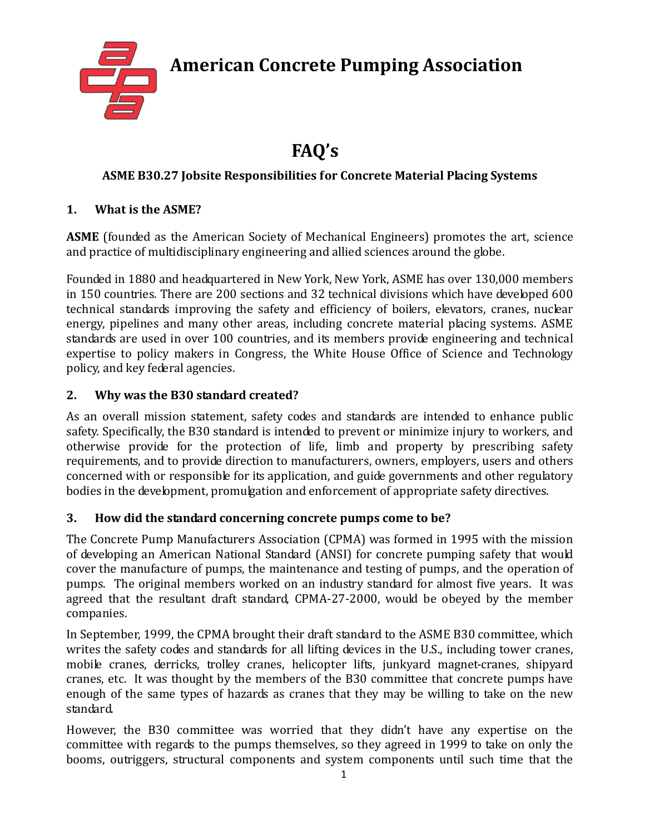**American Concrete Pumping Association**



# **FAQ's**

## **ASME B30.27 Jobsite Responsibilities for Concrete Material Placing Systems**

## **1. What is the ASME?**

ASME (founded as the American Society of Mechanical Engineers) promotes the art, science and practice of multidisciplinary engineering and allied sciences around the globe.

Founded in 1880 and headquartered in New York, New York, ASME has over 130,000 members in 150 countries. There are 200 sections and 32 technical divisions which have developed 600 technical standards improving the safety and efficiency of boilers, elevators, cranes, nuclear energy, pipelines and many other areas, including concrete material placing systems. ASME standards are used in over 100 countries, and its members provide engineering and technical expertise to policy makers in Congress, the White House Office of Science and Technology policy, and key federal agencies.

#### **2. Why was the B30 standard created?**

As an overall mission statement, safety codes and standards are intended to enhance public safety. Specifically, the B30 standard is intended to prevent or minimize injury to workers, and otherwise provide for the protection of life, limb and property by prescribing safety requirements, and to provide direction to manufacturers, owners, employers, users and others concerned with or responsible for its application, and guide governments and other regulatory bodies in the development, promulgation and enforcement of appropriate safety directives.

## **3. How did the standard concerning concrete pumps come to be?**

The Concrete Pump Manufacturers Association (CPMA) was formed in 1995 with the mission of developing an American National Standard (ANSI) for concrete pumping safety that would cover the manufacture of pumps, the maintenance and testing of pumps, and the operation of pumps. The original members worked on an industry standard for almost five years. It was agreed that the resultant draft standard, CPMA-27-2000, would be obeyed by the member companies.

In September, 1999, the CPMA brought their draft standard to the ASME B30 committee, which writes the safety codes and standards for all lifting devices in the U.S., including tower cranes, mobile cranes, derricks, trolley cranes, helicopter lifts, junkyard magnet-cranes, shipyard cranes, etc. It was thought by the members of the B30 committee that concrete pumps have enough of the same types of hazards as cranes that they may be willing to take on the new standard.

However, the B30 committee was worried that they didn't have any expertise on the committee with regards to the pumps themselves, so they agreed in 1999 to take on only the booms, outriggers, structural components and system components until such time that the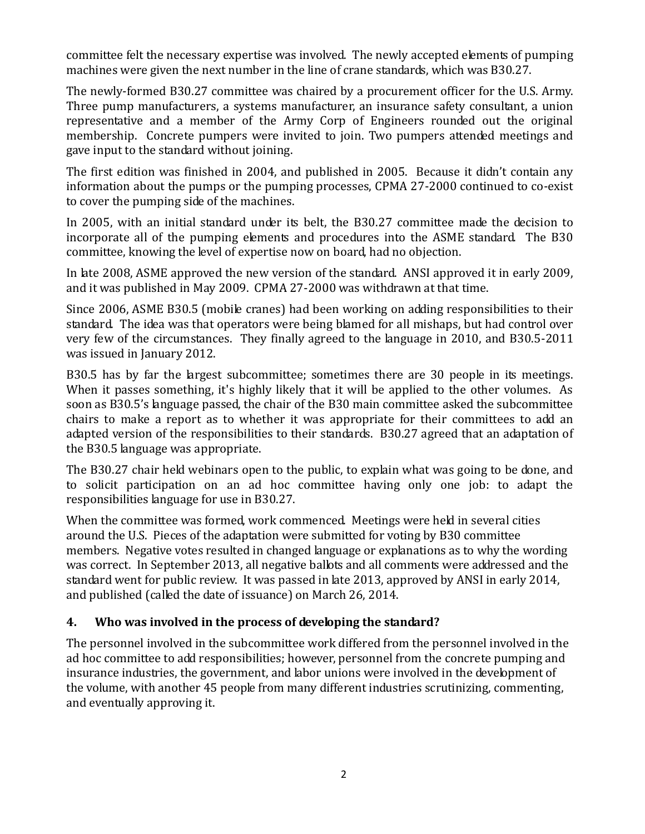committee felt the necessary expertise was involved. The newly accepted elements of pumping machines were given the next number in the line of crane standards, which was B30.27.

The newly-formed B30.27 committee was chaired by a procurement officer for the U.S. Army. Three pump manufacturers, a systems manufacturer, an insurance safety consultant, a union representative and a member of the Army Corp of Engineers rounded out the original membership. Concrete pumpers were invited to join. Two pumpers attended meetings and gave input to the standard without joining.

The first edition was finished in 2004, and published in 2005. Because it didn't contain any information about the pumps or the pumping processes, CPMA 27-2000 continued to co-exist to cover the pumping side of the machines.

In 2005, with an initial standard under its belt, the B30.27 committee made the decision to incorporate all of the pumping elements and procedures into the ASME standard. The B30 committee, knowing the level of expertise now on board, had no objection.

In late 2008, ASME approved the new version of the standard. ANSI approved it in early 2009, and it was published in May 2009. CPMA 27-2000 was withdrawn at that time.

Since 2006, ASME B30.5 (mobile cranes) had been working on adding responsibilities to their standard. The idea was that operators were being blamed for all mishaps, but had control over very few of the circumstances. They finally agreed to the language in 2010, and B30.5-2011 was issued in January 2012.

B30.5 has by far the largest subcommittee; sometimes there are 30 people in its meetings. When it passes something, it's highly likely that it will be applied to the other volumes. As soon as B30.5's language passed, the chair of the B30 main committee asked the subcommittee chairs to make a report as to whether it was appropriate for their committees to add an adapted version of the responsibilities to their standards. B30.27 agreed that an adaptation of the B30.5 language was appropriate.

The B30.27 chair held webinars open to the public, to explain what was going to be done, and to solicit participation on an ad hoc committee having only one job: to adapt the responsibilities language for use in B30.27.

When the committee was formed, work commenced. Meetings were held in several cities around the U.S. Pieces of the adaptation were submitted for voting by B30 committee members. Negative votes resulted in changed language or explanations as to why the wording was correct. In September 2013, all negative ballots and all comments were addressed and the standard went for public review. It was passed in late 2013, approved by ANSI in early 2014, and published (called the date of issuance) on March 26, 2014.

#### **4. Who was involved in the process of developing the standard?**

The personnel involved in the subcommittee work differed from the personnel involved in the ad hoc committee to add responsibilities; however, personnel from the concrete pumping and insurance industries, the government, and labor unions were involved in the development of the volume, with another 45 people from many different industries scrutinizing, commenting, and eventually approving it.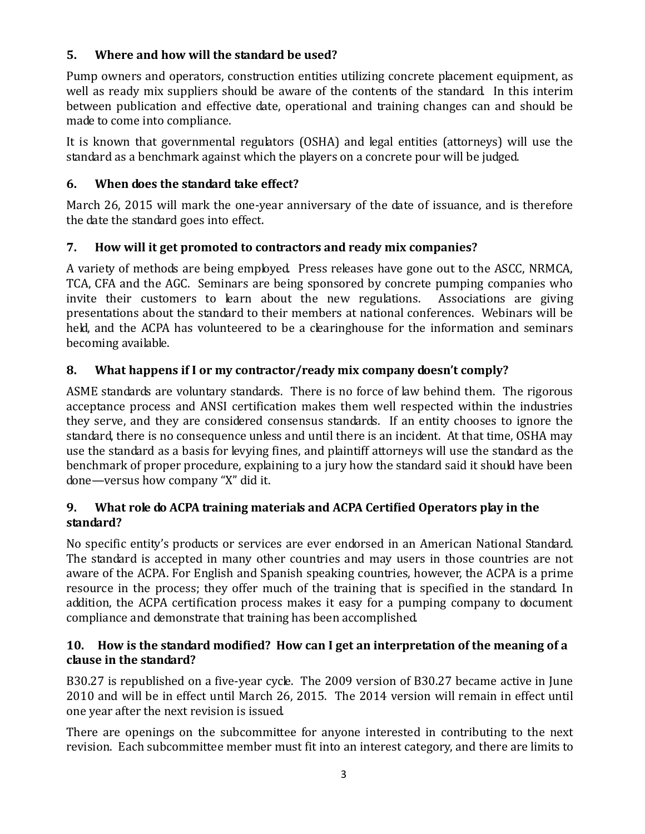#### **5. Where and how will the standard be used?**

Pump owners and operators, construction entities utilizing concrete placement equipment, as well as ready mix suppliers should be aware of the contents of the standard. In this interim between publication and effective date, operational and training changes can and should be made to come into compliance.

It is known that governmental regulators (OSHA) and legal entities (attorneys) will use the standard as a benchmark against which the players on a concrete pour will be judged.

#### **6. When does the standard take effect?**

March 26, 2015 will mark the one-year anniversary of the date of issuance, and is therefore the date the standard goes into effect.

## **7. How will it get promoted to contractors and ready mix companies?**

A variety of methods are being employed. Press releases have gone out to the ASCC, NRMCA, TCA, CFA and the AGC. Seminars are being sponsored by concrete pumping companies who invite their customers to learn about the new regulations. Associations are giving presentations about the standard to their members at national conferences. Webinars will be held, and the ACPA has volunteered to be a clearinghouse for the information and seminars becoming available.

## **8. What happens if I or my contractor/ready mix company doesn't comply?**

ASME standards are voluntary standards. There is no force of law behind them. The rigorous acceptance process and ANSI certification makes them well respected within the industries they serve, and they are considered consensus standards. If an entity chooses to ignore the standard, there is no consequence unless and until there is an incident. At that time, OSHA may use the standard as a basis for levying fines, and plaintiff attorneys will use the standard as the benchmark of proper procedure, explaining to a jury how the standard said it should have been done—versus how company "X" did it.

#### **9. What role do ACPA training materials and ACPA Certified Operators play in the standard?**

No specific entity's products or services are ever endorsed in an American National Standard. The standard is accepted in many other countries and may users in those countries are not aware of the ACPA. For English and Spanish speaking countries, however, the ACPA is a prime resource in the process; they offer much of the training that is specified in the standard. In addition, the ACPA certification process makes it easy for a pumping company to document compliance and demonstrate that training has been accomplished.

#### **10. How is the standard modified? How can I get an interpretation of the meaning of a clause in the standard?**

B30.27 is republished on a five-year cycle. The 2009 version of B30.27 became active in June 2010 and will be in effect until March 26, 2015. The 2014 version will remain in effect until one year after the next revision is issued.

There are openings on the subcommittee for anyone interested in contributing to the next revision. Each subcommittee member must fit into an interest category, and there are limits to